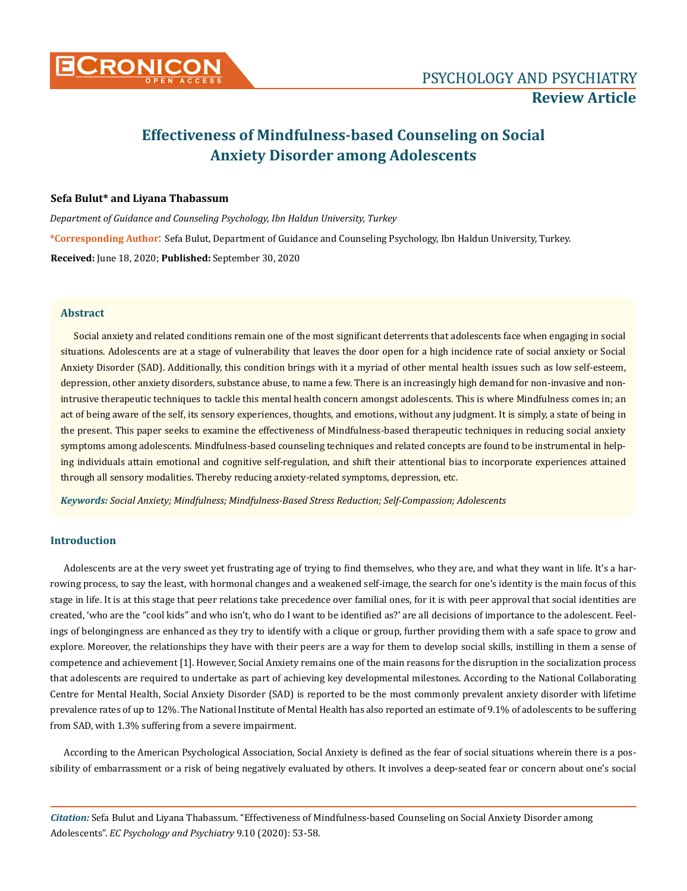

# **Effectiveness of Mindfulness-based Counseling on Social Anxiety Disorder among Adolescents**

# **Sefa Bulut\* and Liyana Thabassum**

*Department of Guidance and Counseling Psychology, Ibn Haldun University, Turkey*

**\*Corresponding Author**: Sefa Bulut, Department of Guidance and Counseling Psychology, Ibn Haldun University, Turkey. **Received:** June 18, 2020; **Published:** September 30, 2020

# **Abstract**

Social anxiety and related conditions remain one of the most significant deterrents that adolescents face when engaging in social situations. Adolescents are at a stage of vulnerability that leaves the door open for a high incidence rate of social anxiety or Social Anxiety Disorder (SAD). Additionally, this condition brings with it a myriad of other mental health issues such as low self-esteem, depression, other anxiety disorders, substance abuse, to name a few. There is an increasingly high demand for non-invasive and nonintrusive therapeutic techniques to tackle this mental health concern amongst adolescents. This is where Mindfulness comes in; an act of being aware of the self, its sensory experiences, thoughts, and emotions, without any judgment. It is simply, a state of being in the present. This paper seeks to examine the effectiveness of Mindfulness-based therapeutic techniques in reducing social anxiety symptoms among adolescents. Mindfulness-based counseling techniques and related concepts are found to be instrumental in helping individuals attain emotional and cognitive self-regulation, and shift their attentional bias to incorporate experiences attained through all sensory modalities. Thereby reducing anxiety-related symptoms, depression, etc.

*Keywords: Social Anxiety; Mindfulness; Mindfulness-Based Stress Reduction; Self-Compassion; Adolescents*

# **Introduction**

Adolescents are at the very sweet yet frustrating age of trying to find themselves, who they are, and what they want in life. It's a harrowing process, to say the least, with hormonal changes and a weakened self-image, the search for one's identity is the main focus of this stage in life. It is at this stage that peer relations take precedence over familial ones, for it is with peer approval that social identities are created, 'who are the "cool kids" and who isn't, who do I want to be identified as?' are all decisions of importance to the adolescent. Feelings of belongingness are enhanced as they try to identify with a clique or group, further providing them with a safe space to grow and explore. Moreover, the relationships they have with their peers are a way for them to develop social skills, instilling in them a sense of competence and achievement [1]. However, Social Anxiety remains one of the main reasons for the disruption in the socialization process that adolescents are required to undertake as part of achieving key developmental milestones. According to the National Collaborating Centre for Mental Health, Social Anxiety Disorder (SAD) is reported to be the most commonly prevalent anxiety disorder with lifetime prevalence rates of up to 12%. The National Institute of Mental Health has also reported an estimate of 9.1% of adolescents to be suffering from SAD, with 1.3% suffering from a severe impairment.

According to the American Psychological Association, Social Anxiety is defined as the fear of social situations wherein there is a possibility of embarrassment or a risk of being negatively evaluated by others. It involves a deep-seated fear or concern about one's social

*Citation:* Sefa Bulut and Liyana Thabassum. "Effectiveness of Mindfulness-based Counseling on Social Anxiety Disorder among Adolescents". *EC Psychology and Psychiatry* 9.10 (2020): 53-58.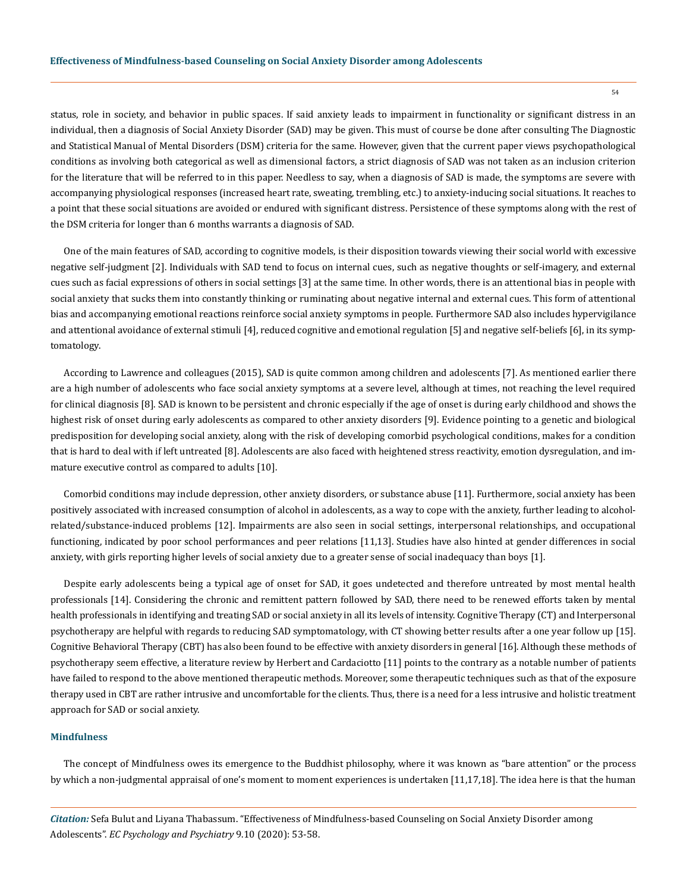status, role in society, and behavior in public spaces. If said anxiety leads to impairment in functionality or significant distress in an individual, then a diagnosis of Social Anxiety Disorder (SAD) may be given. This must of course be done after consulting The Diagnostic and Statistical Manual of Mental Disorders (DSM) criteria for the same. However, given that the current paper views psychopathological conditions as involving both categorical as well as dimensional factors, a strict diagnosis of SAD was not taken as an inclusion criterion for the literature that will be referred to in this paper. Needless to say, when a diagnosis of SAD is made, the symptoms are severe with accompanying physiological responses (increased heart rate, sweating, trembling, etc.) to anxiety-inducing social situations. It reaches to a point that these social situations are avoided or endured with significant distress. Persistence of these symptoms along with the rest of the DSM criteria for longer than 6 months warrants a diagnosis of SAD.

One of the main features of SAD, according to cognitive models, is their disposition towards viewing their social world with excessive negative self-judgment [2]. Individuals with SAD tend to focus on internal cues, such as negative thoughts or self-imagery, and external cues such as facial expressions of others in social settings [3] at the same time. In other words, there is an attentional bias in people with social anxiety that sucks them into constantly thinking or ruminating about negative internal and external cues. This form of attentional bias and accompanying emotional reactions reinforce social anxiety symptoms in people. Furthermore SAD also includes hypervigilance and attentional avoidance of external stimuli [4], reduced cognitive and emotional regulation [5] and negative self-beliefs [6], in its symptomatology.

According to Lawrence and colleagues (2015), SAD is quite common among children and adolescents [7]. As mentioned earlier there are a high number of adolescents who face social anxiety symptoms at a severe level, although at times, not reaching the level required for clinical diagnosis [8]. SAD is known to be persistent and chronic especially if the age of onset is during early childhood and shows the highest risk of onset during early adolescents as compared to other anxiety disorders [9]. Evidence pointing to a genetic and biological predisposition for developing social anxiety, along with the risk of developing comorbid psychological conditions, makes for a condition that is hard to deal with if left untreated [8]. Adolescents are also faced with heightened stress reactivity, emotion dysregulation, and immature executive control as compared to adults [10].

Comorbid conditions may include depression, other anxiety disorders, or substance abuse [11]. Furthermore, social anxiety has been positively associated with increased consumption of alcohol in adolescents, as a way to cope with the anxiety, further leading to alcoholrelated/substance-induced problems [12]. Impairments are also seen in social settings, interpersonal relationships, and occupational functioning, indicated by poor school performances and peer relations [11,13]. Studies have also hinted at gender differences in social anxiety, with girls reporting higher levels of social anxiety due to a greater sense of social inadequacy than boys [1].

Despite early adolescents being a typical age of onset for SAD, it goes undetected and therefore untreated by most mental health professionals [14]. Considering the chronic and remittent pattern followed by SAD, there need to be renewed efforts taken by mental health professionals in identifying and treating SAD or social anxiety in all its levels of intensity. Cognitive Therapy (CT) and Interpersonal psychotherapy are helpful with regards to reducing SAD symptomatology, with CT showing better results after a one year follow up [15]. Cognitive Behavioral Therapy (CBT) has also been found to be effective with anxiety disorders in general [16]. Although these methods of psychotherapy seem effective, a literature review by Herbert and Cardaciotto [11] points to the contrary as a notable number of patients have failed to respond to the above mentioned therapeutic methods. Moreover, some therapeutic techniques such as that of the exposure therapy used in CBT are rather intrusive and uncomfortable for the clients. Thus, there is a need for a less intrusive and holistic treatment approach for SAD or social anxiety.

#### **Mindfulness**

The concept of Mindfulness owes its emergence to the Buddhist philosophy, where it was known as "bare attention" or the process by which a non-judgmental appraisal of one's moment to moment experiences is undertaken [11,17,18]. The idea here is that the human

*Citation:* Sefa Bulut and Liyana Thabassum. "Effectiveness of Mindfulness-based Counseling on Social Anxiety Disorder among Adolescents". *EC Psychology and Psychiatry* 9.10 (2020): 53-58.

54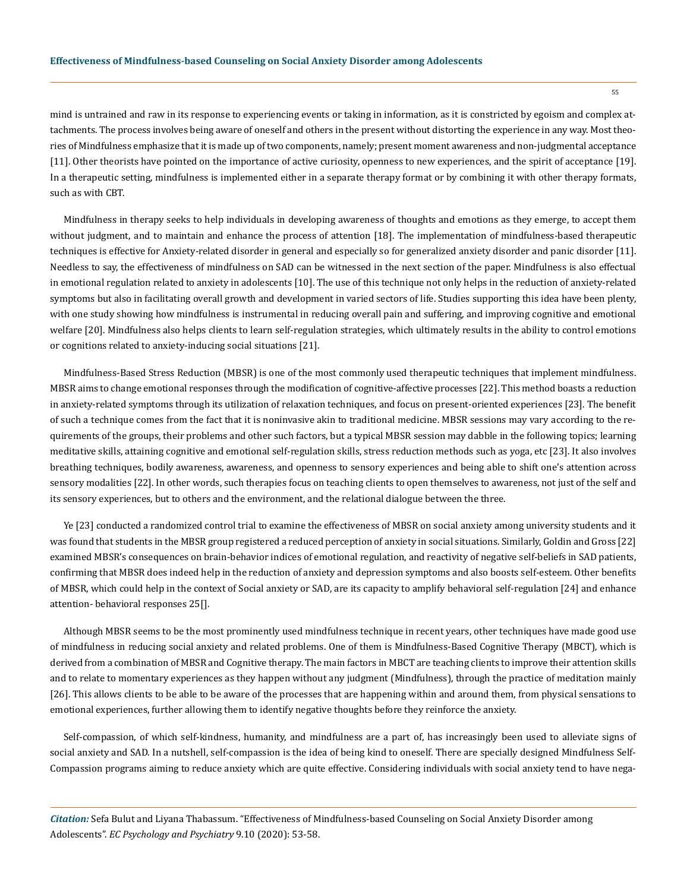mind is untrained and raw in its response to experiencing events or taking in information, as it is constricted by egoism and complex attachments. The process involves being aware of oneself and others in the present without distorting the experience in any way. Most theories of Mindfulness emphasize that it is made up of two components, namely; present moment awareness and non-judgmental acceptance [11]. Other theorists have pointed on the importance of active curiosity, openness to new experiences, and the spirit of acceptance [19]. In a therapeutic setting, mindfulness is implemented either in a separate therapy format or by combining it with other therapy formats, such as with CBT.

Mindfulness in therapy seeks to help individuals in developing awareness of thoughts and emotions as they emerge, to accept them without judgment, and to maintain and enhance the process of attention [18]. The implementation of mindfulness-based therapeutic techniques is effective for Anxiety-related disorder in general and especially so for generalized anxiety disorder and panic disorder [11]. Needless to say, the effectiveness of mindfulness on SAD can be witnessed in the next section of the paper. Mindfulness is also effectual in emotional regulation related to anxiety in adolescents [10]. The use of this technique not only helps in the reduction of anxiety-related symptoms but also in facilitating overall growth and development in varied sectors of life. Studies supporting this idea have been plenty, with one study showing how mindfulness is instrumental in reducing overall pain and suffering, and improving cognitive and emotional welfare [20]. Mindfulness also helps clients to learn self-regulation strategies, which ultimately results in the ability to control emotions or cognitions related to anxiety-inducing social situations [21].

Mindfulness-Based Stress Reduction (MBSR) is one of the most commonly used therapeutic techniques that implement mindfulness. MBSR aims to change emotional responses through the modification of cognitive-affective processes [22]. This method boasts a reduction in anxiety-related symptoms through its utilization of relaxation techniques, and focus on present-oriented experiences [23]. The benefit of such a technique comes from the fact that it is noninvasive akin to traditional medicine. MBSR sessions may vary according to the requirements of the groups, their problems and other such factors, but a typical MBSR session may dabble in the following topics; learning meditative skills, attaining cognitive and emotional self-regulation skills, stress reduction methods such as yoga, etc [23]. It also involves breathing techniques, bodily awareness, awareness, and openness to sensory experiences and being able to shift one's attention across sensory modalities [22]. In other words, such therapies focus on teaching clients to open themselves to awareness, not just of the self and its sensory experiences, but to others and the environment, and the relational dialogue between the three.

Ye [23] conducted a randomized control trial to examine the effectiveness of MBSR on social anxiety among university students and it was found that students in the MBSR group registered a reduced perception of anxiety in social situations. Similarly, Goldin and Gross [22] examined MBSR's consequences on brain-behavior indices of emotional regulation, and reactivity of negative self-beliefs in SAD patients, confirming that MBSR does indeed help in the reduction of anxiety and depression symptoms and also boosts self-esteem. Other benefits of MBSR, which could help in the context of Social anxiety or SAD, are its capacity to amplify behavioral self-regulation [24] and enhance attention- behavioral responses 25[].

Although MBSR seems to be the most prominently used mindfulness technique in recent years, other techniques have made good use of mindfulness in reducing social anxiety and related problems. One of them is Mindfulness-Based Cognitive Therapy (MBCT), which is derived from a combination of MBSR and Cognitive therapy. The main factors in MBCT are teaching clients to improve their attention skills and to relate to momentary experiences as they happen without any judgment (Mindfulness), through the practice of meditation mainly [26]. This allows clients to be able to be aware of the processes that are happening within and around them, from physical sensations to emotional experiences, further allowing them to identify negative thoughts before they reinforce the anxiety.

Self-compassion, of which self-kindness, humanity, and mindfulness are a part of, has increasingly been used to alleviate signs of social anxiety and SAD. In a nutshell, self-compassion is the idea of being kind to oneself. There are specially designed Mindfulness Self-Compassion programs aiming to reduce anxiety which are quite effective. Considering individuals with social anxiety tend to have nega-

*Citation:* Sefa Bulut and Liyana Thabassum. "Effectiveness of Mindfulness-based Counseling on Social Anxiety Disorder among Adolescents". *EC Psychology and Psychiatry* 9.10 (2020): 53-58.

55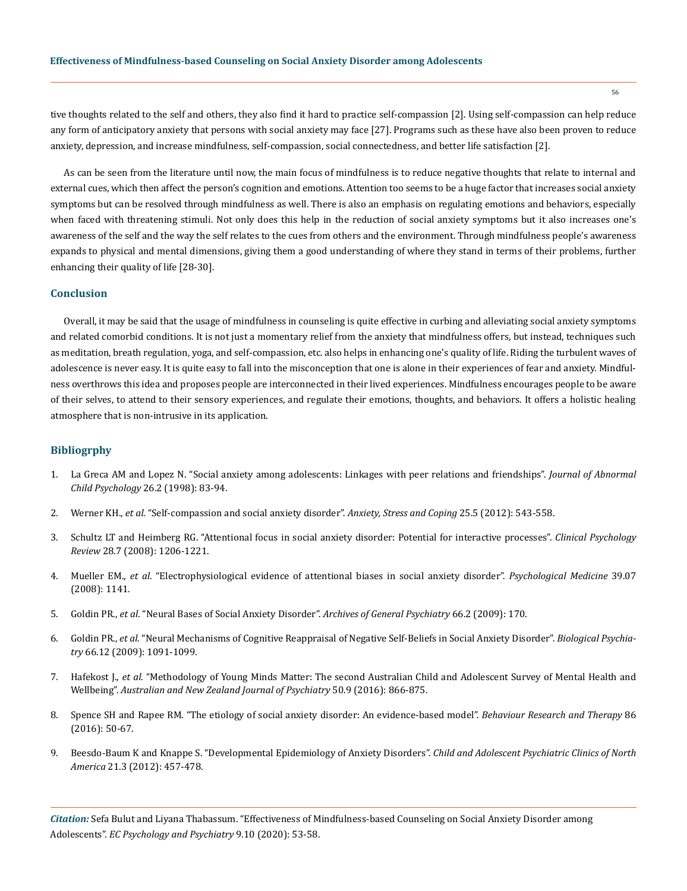tive thoughts related to the self and others, they also find it hard to practice self-compassion [2]. Using self-compassion can help reduce any form of anticipatory anxiety that persons with social anxiety may face [27]. Programs such as these have also been proven to reduce anxiety, depression, and increase mindfulness, self-compassion, social connectedness, and better life satisfaction [2].

As can be seen from the literature until now, the main focus of mindfulness is to reduce negative thoughts that relate to internal and external cues, which then affect the person's cognition and emotions. Attention too seems to be a huge factor that increases social anxiety symptoms but can be resolved through mindfulness as well. There is also an emphasis on regulating emotions and behaviors, especially when faced with threatening stimuli. Not only does this help in the reduction of social anxiety symptoms but it also increases one's awareness of the self and the way the self relates to the cues from others and the environment. Through mindfulness people's awareness expands to physical and mental dimensions, giving them a good understanding of where they stand in terms of their problems, further enhancing their quality of life [28-30].

# **Conclusion**

Overall, it may be said that the usage of mindfulness in counseling is quite effective in curbing and alleviating social anxiety symptoms and related comorbid conditions. It is not just a momentary relief from the anxiety that mindfulness offers, but instead, techniques such as meditation, breath regulation, yoga, and self-compassion, etc. also helps in enhancing one's quality of life. Riding the turbulent waves of adolescence is never easy. It is quite easy to fall into the misconception that one is alone in their experiences of fear and anxiety. Mindfulness overthrows this idea and proposes people are interconnected in their lived experiences. Mindfulness encourages people to be aware of their selves, to attend to their sensory experiences, and regulate their emotions, thoughts, and behaviors. It offers a holistic healing atmosphere that is non-intrusive in its application.

#### **Bibliogrphy**

- 1. [La Greca AM and Lopez N. "Social anxiety among adolescents: Linkages with peer relations and friendships".](https://www.researchgate.net/publication/13650718_Social_Anxiety_Among_Adolescents_Linkages_with_Peer_Relations_and_Friendships) *Journal of Abnormal Child Psychology* [26.2 \(1998\): 83-94.](https://www.researchgate.net/publication/13650718_Social_Anxiety_Among_Adolescents_Linkages_with_Peer_Relations_and_Friendships)
- 2. Werner KH., *et al*[. "Self-compassion and social anxiety disorder".](https://www.ncbi.nlm.nih.gov/pmc/articles/PMC4128472/) *Anxiety, Stress and Coping* 25.5 (2012): 543-558.
- 3. [Schultz LT and Heimberg RG. "Attentional focus in social anxiety disorder: Potential for interactive processes".](https://pubmed.ncbi.nlm.nih.gov/18555570/) *Clinical Psychology Review* [28.7 \(2008\): 1206-1221.](https://pubmed.ncbi.nlm.nih.gov/18555570/)
- 4. Mueller EM., *et al*[. "Electrophysiological evidence of attentional biases in social anxiety disorder".](https://pubmed.ncbi.nlm.nih.gov/19079826/) *Psychological Medicine* 39.07 [\(2008\): 1141.](https://pubmed.ncbi.nlm.nih.gov/19079826/)
- 5. Goldin PR., *et al*[. "Neural Bases of Social Anxiety Disorder".](https://pubmed.ncbi.nlm.nih.gov/19188539/) *Archives of General Psychiatry* 66.2 (2009): 170.
- 6. Goldin PR., *et al*[. "Neural Mechanisms of Cognitive Reappraisal of Negative Self-Beliefs in Social Anxiety Disorder".](https://pubmed.ncbi.nlm.nih.gov/19717138/) *Biological Psychiatry* [66.12 \(2009\): 1091-1099.](https://pubmed.ncbi.nlm.nih.gov/19717138/)
- 7. Hafekost J., *et al*[. "Methodology of Young Minds Matter: The second Australian Child and Adolescent Survey of Mental Health and](https://pubmed.ncbi.nlm.nih.gov/26698821/) Wellbeing". *[Australian and New Zealand Journal of Psychiatry](https://pubmed.ncbi.nlm.nih.gov/26698821/)* 50.9 (2016): 866-875.
- 8. [Spence SH and Rapee RM. "The etiology of social anxiety disorder: An evidence-based model".](https://pubmed.ncbi.nlm.nih.gov/27406470/) *Behaviour Research and Therapy* 86 [\(2016\): 50-67.](https://pubmed.ncbi.nlm.nih.gov/27406470/)
- 9. [Beesdo-Baum K and Knappe S. "Developmental Epidemiology of Anxiety Disorders".](https://pubmed.ncbi.nlm.nih.gov/22800989/) *Child and Adolescent Psychiatric Clinics of North America* [21.3 \(2012\): 457-478.](https://pubmed.ncbi.nlm.nih.gov/22800989/)

*Citation:* Sefa Bulut and Liyana Thabassum. "Effectiveness of Mindfulness-based Counseling on Social Anxiety Disorder among Adolescents". *EC Psychology and Psychiatry* 9.10 (2020): 53-58.

56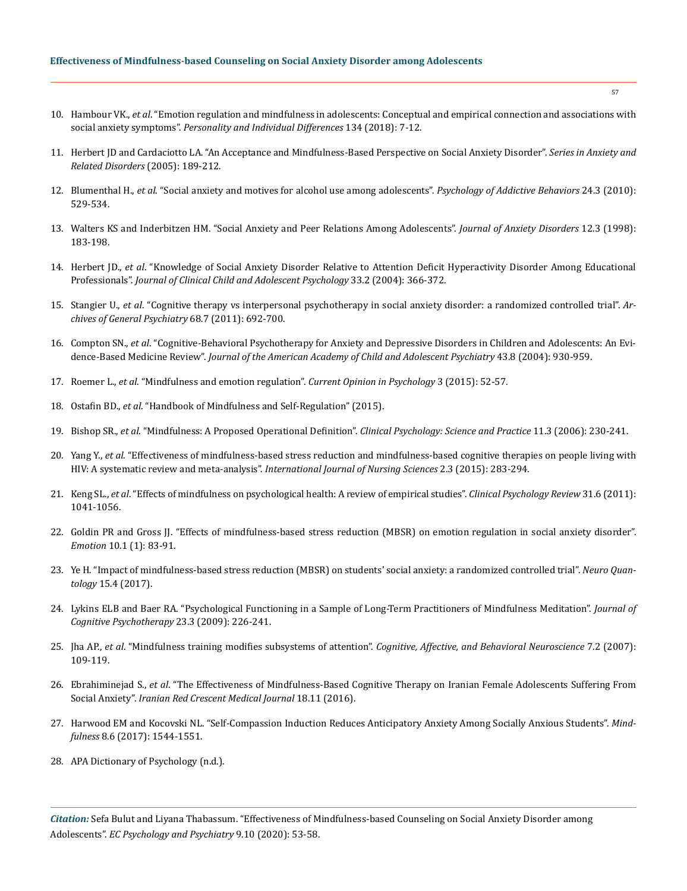- 10. Hambour VK., *et al*[. "Emotion regulation and mindfulness in adolescents: Conceptual and empirical connection and associations with](https://www.sciencedirect.com/science/article/abs/pii/S0191886918302915)  social anxiety symptoms". *[Personality and Individual Differences](https://www.sciencedirect.com/science/article/abs/pii/S0191886918302915)* 134 (2018): 7-12.
- 11. [Herbert JD and Cardaciotto LA. "An Acceptance and Mindfulness-Based Perspective on Social Anxiety Disorder".](https://www.researchgate.net/publication/227119689_An_Acceptance_and_Mindfulness-Based_Perspective_on_Social_Anxiety_Disorder) *Series in Anxiety and [Related Disorders](https://www.researchgate.net/publication/227119689_An_Acceptance_and_Mindfulness-Based_Perspective_on_Social_Anxiety_Disorder)* (2005): 189-212.
- 12. Blumenthal H., *et al*[. "Social anxiety and motives for alcohol use among adolescents".](https://pubmed.ncbi.nlm.nih.gov/20853939/) *Psychology of Addictive Behaviors* 24.3 (2010): [529-534.](https://pubmed.ncbi.nlm.nih.gov/20853939/)
- 13. [Walters KS and Inderbitzen HM. "Social Anxiety and Peer Relations Among Adolescents".](https://www.sciencedirect.com/science/article/abs/pii/S0887618598000085) *Journal of Anxiety Disorders* 12.3 (1998): [183-198.](https://www.sciencedirect.com/science/article/abs/pii/S0887618598000085)
- 14. Herbert JD., *et al*[. "Knowledge of Social Anxiety Disorder Relative to Attention Deficit Hyperactivity Disorder Among Educational](https://pubmed.ncbi.nlm.nih.gov/15136201/)  Professionals". *[Journal of Clinical Child and Adolescent Psychology](https://pubmed.ncbi.nlm.nih.gov/15136201/)* 33.2 (2004): 366-372.
- 15. Stangier U., *et al*[. "Cognitive therapy vs interpersonal psychotherapy in social anxiety disorder: a randomized controlled trial".](https://pubmed.ncbi.nlm.nih.gov/21727253/) *Ar[chives of General Psychiatry](https://pubmed.ncbi.nlm.nih.gov/21727253/)* 68.7 (2011): 692-700.
- 16. Compton SN., *et al*[. "Cognitive-Behavioral Psychotherapy for Anxiety and Depressive Disorders in Children and Adolescents: An Evi](https://www.ncbi.nlm.nih.gov/books/NBK70632/)dence-Based Medicine Review". *[Journal of the American Academy of Child and Adolescent Psychiatry](https://www.ncbi.nlm.nih.gov/books/NBK70632/)* 43.8 (2004): 930-959.
- 17. Roemer L., *et al*[. "Mindfulness and emotion regulation".](https://www.sciencedirect.com/science/article/pii/S2352250X15000974) *Current Opinion in Psychology* 3 (2015): 52-57.
- 18. Ostafin BD., *et al*. "Handbook of Mindfulness and Self-Regulation" (2015).
- 19. Bishop SR., *et al*[. "Mindfulness: A Proposed Operational Definition".](http://www.personal.kent.edu/~dfresco/mindfulness/Bishop_et_al.pdf) *Clinical Psychology: Science and Practice* 11.3 (2006): 230-241.
- 20. Yang Y., *et al*[. "Effectiveness of mindfulness-based stress reduction and mindfulness-based cognitive therapies on people living with](https://www.sciencedirect.com/science/article/pii/S2352013215000654)  HIV: A systematic review and meta-analysis". *[International Journal of Nursing Sciences](https://www.sciencedirect.com/science/article/pii/S2352013215000654)* 2.3 (2015): 283-294.
- 21. Keng SL., *et al*[. "Effects of mindfulness on psychological health: A review of empirical studies".](https://www.researchgate.net/publication/51533911_Effects_of_Mindfulness_on_Psychological_Health_A_Review_of_Empirical_Studies) *Clinical Psychology Review* 31.6 (2011): [1041-1056.](https://www.researchgate.net/publication/51533911_Effects_of_Mindfulness_on_Psychological_Health_A_Review_of_Empirical_Studies)
- 22. [Goldin PR and Gross JJ. "Effects of mindfulness-based stress reduction \(MBSR\) on emotion regulation in social anxiety disorder".](https://pubmed.ncbi.nlm.nih.gov/20141305/) *Emotion* [10.1 \(1\): 83-91.](https://pubmed.ncbi.nlm.nih.gov/20141305/)
- 23. [Ye H. "Impact of mindfulness-based stress reduction \(MBSR\) on students' social anxiety: a randomized controlled trial".](https://www.researchgate.net/publication/323186180_Impact_of_Mindfulness-Based_Stress_Reduction_MBSR_on_Students%27_Social_Anxiety_A_Randomized_Controlled_Trial) *Neuro Quantology* [15.4 \(2017\).](https://www.researchgate.net/publication/323186180_Impact_of_Mindfulness-Based_Stress_Reduction_MBSR_on_Students%27_Social_Anxiety_A_Randomized_Controlled_Trial)
- 24. [Lykins ELB and Baer RA. "Psychological Functioning in a Sample of Long-Term Practitioners of Mindfulness Meditation".](https://self-compassion.org/wp-content/uploads/publications/baermeditators.pdf) *Journal of [Cognitive Psychotherapy](https://self-compassion.org/wp-content/uploads/publications/baermeditators.pdf)* 23.3 (2009): 226-241.
- 25. Jha AP., *et al*. "Mindfulness training modifies subsystems of attention". *[Cognitive, Affective, and Behavioral Neuroscience](https://link.springer.com/article/10.3758/CABN.7.2.109)* 7.2 (2007): [109-119.](https://link.springer.com/article/10.3758/CABN.7.2.109)
- 26. Ebrahiminejad S., *et al*[. "The Effectiveness of Mindfulness-Based Cognitive Therapy on Iranian Female Adolescents Suffering From](https://www.researchgate.net/publication/304184571_The_Effectiveness_of_Mindfulness-Based_Cognitive_Therapy_on_Iranian_Female_Adolescents_Suffering_From_Social_Anxiety)  Social Anxiety". *[Iranian Red Crescent Medical Journal](https://www.researchgate.net/publication/304184571_The_Effectiveness_of_Mindfulness-Based_Cognitive_Therapy_on_Iranian_Female_Adolescents_Suffering_From_Social_Anxiety)* 18.11 (2016).
- 27. [Harwood EM and Kocovski NL. "Self-Compassion Induction Reduces Anticipatory Anxiety Among Socially Anxious Students".](https://self-compassion.org/wp-content/uploads/2018/05/Harwood2017.pdf) *Mindfulness* [8.6 \(2017\): 1544-1551.](https://self-compassion.org/wp-content/uploads/2018/05/Harwood2017.pdf)
- 28. [APA Dictionary of Psychology \(n.d.\).](https://dictionary.apa.org/social-anxiety)

*Citation:* Sefa Bulut and Liyana Thabassum. "Effectiveness of Mindfulness-based Counseling on Social Anxiety Disorder among Adolescents". *EC Psychology and Psychiatry* 9.10 (2020): 53-58.